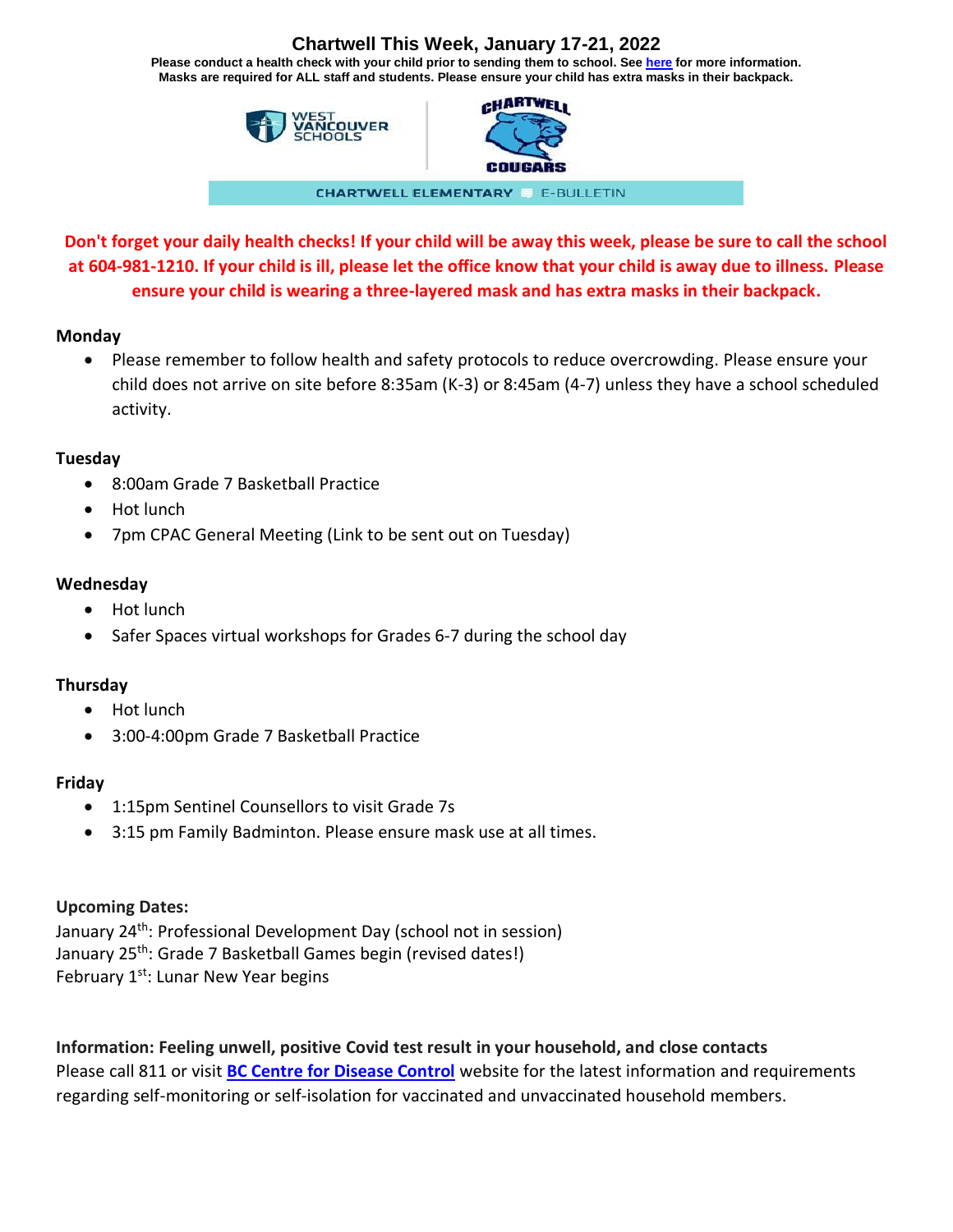# **Chartwell This Week, January 17-21, 2022**

**Please conduct a health check with your child prior to sending them to school. See [here](https://www.k12dailycheck.gov.bc.ca/healthcheck?execution=e2s1) for more information. Masks are required for ALL staff and students. Please ensure your child has extra masks in their backpack.**





**CHARTWELL ELEMENTARY E-BULLETIN** 

**Don't forget your daily health checks! If your child will be away this week, please be sure to call the school at 604-981-1210. If your child is ill, please let the office know that your child is away due to illness. Please ensure your child is wearing a three-layered mask and has extra masks in their backpack.**

### **Monday**

• Please remember to follow health and safety protocols to reduce overcrowding. Please ensure your child does not arrive on site before 8:35am (K-3) or 8:45am (4-7) unless they have a school scheduled activity.

## **Tuesday**

- 8:00am Grade 7 Basketball Practice
- Hot lunch
- 7pm CPAC General Meeting (Link to be sent out on Tuesday)

# **Wednesday**

- Hot lunch
- Safer Spaces virtual workshops for Grades 6-7 during the school day

## **Thursday**

- Hot lunch
- 3:00-4:00pm Grade 7 Basketball Practice

## **Friday**

- 1:15pm Sentinel Counsellors to visit Grade 7s
- 3:15 pm Family Badminton. Please ensure mask use at all times.

## **Upcoming Dates:**

January 24th: Professional Development Day (school not in session) January 25<sup>th</sup>: Grade 7 Basketball Games begin (revised dates!) February 1<sup>st</sup>: Lunar New Year begins

**Information: Feeling unwell, positive Covid test result in your household, and close contacts** Please call 811 or visit **[BC Centre for Disease Control](http://www.bccdc.ca/health-info/diseases-conditions/covid-19/if-you-have-covid-19)** website for the latest information and requirements regarding self-monitoring or self-isolation for vaccinated and unvaccinated household members.